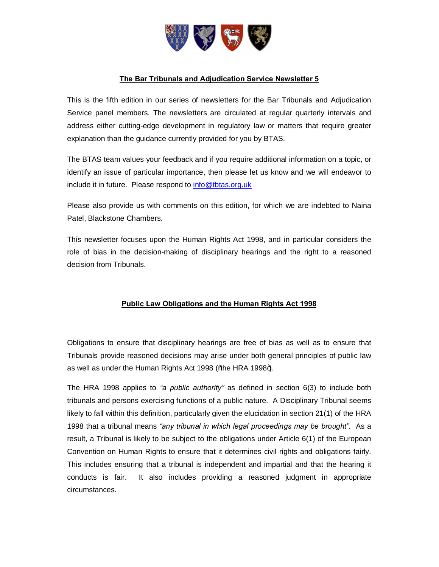

# **The Bar Tribunals and Adjudication Service Newsletter 5**

This is the fifth edition in our series of newsletters for the Bar Tribunals and Adjudication Service panel members. The newsletters are circulated at regular quarterly intervals and address either cutting-edge development in regulatory law or matters that require greater explanation than the guidance currently provided for you by BTAS.

The BTAS team values your feedback and if you require additional information on a topic, or identify an issue of particular importance, then please let us know and we will endeavor to include it in future. Please respond to info@tbtas.org.uk

Please also provide us with comm[ents on this edition,](mailto:info@tbtas.org.uk) for which we are indebted to Naina Patel, Blackstone Chambers.

This newsletter focuses upon the Human Rights Act 1998, and in particular considers the role of bias in the decision-making of disciplinary hearings and the right to a reasoned decision from Tribunals.

# **Public Law Obligations and the Human Rights Act 1998**

Obligations to ensure that disciplinary hearings are free of bias as well as to ensure that Tribunals provide reasoned decisions may arise under both general principles of public law as well as under the Human Rights Act 1998 (% he HRA 1998+).

The HRA 1998 applies to *"a public authority"* as defined in section 6(3) to include both tribunals and persons exercising functions of a public nature. A Disciplinary Tribunal seems likely to fall within this definition, particularly given the elucidation in section 21(1) of the HRA 1998 that a tribunal means *"any tribunal in which legal proceedings may be brought".* As a result, a Tribunal is likely to be subject to the obligations under Article 6(1) of the European Convention on Human Rights to ensure that it determines civil rights and obligations fairly. This includes ensuring that a tribunal is independent and impartial and that the hearing it conducts is fair. It also includes providing a reasoned judgment in appropriate circumstances.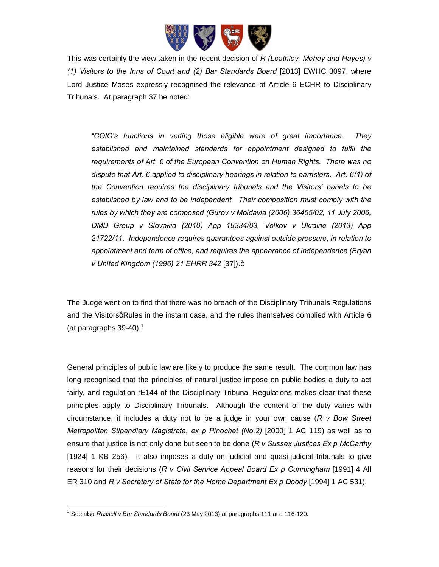

This was certainly the view taken in the recent decision of *R (Leathley, Mehey and Hayes) v (1) Visitors to the Inns of Court and (2) Bar Standards Board* [2013] EWHC 3097, where Lord Justice Moses expressly recognised the relevance of Article 6 ECHR to Disciplinary Tribunals. At paragraph 37 he noted:

*"COIC's functions in vetting those eligible were of great importance. They established and maintained standards for appointment designed to fulfil the requirements of Art. 6 of the European Convention on Human Rights. There was no dispute that Art. 6 applied to disciplinary hearings in relation to barristers. Art. 6(1) of the Convention requires the disciplinary tribunals and the Visitors' panels to be established by law and to be independent. Their composition must comply with the rules by which they are composed (Gurov v Moldavia (2006) 36455/02, 11 July 2006, DMD Group v Slovakia (2010) App 19334/03, Volkov v Ukraine (2013) App 21722/11. Independence requires guarantees against outside pressure, in relation to appointment and term of office, and requires the appearance of independence (Bryan v* United Kingdom (1996) 21 EHRR 342 [37]).+

The Judge went on to find that there was no breach of the Disciplinary Tribunals Regulations and the VisitorsgRules in the instant case, and the rules themselves complied with Article 6 (at paragraphs  $39-40$ ).<sup>1</sup>

General principles of public law are likely to produce the same result. The common law has long recognised that the principles of natural justice impose on public bodies a duty to act fairly, and regulation rE144 of the Disciplinary Tribunal Regulations makes clear that these principles apply to Disciplinary Tribunals. Although the content of the duty varies with circumstance, it includes a duty not to be a judge in your own cause (*R v Bow Street Metropolitan Stipendiary Magistrate, ex p Pinochet (No.2)* [2000] 1 AC 119) as well as to ensure that justice is not only done but seen to be done (*R v Sussex Justices Ex p McCarthy*  [1924] 1 KB 256). It also imposes a duty on judicial and quasi-judicial tribunals to give reasons for their decisions (*R v Civil Service Appeal Board Ex p Cunningham* [1991] 4 All ER 310 and *R v Secretary of State for the Home Department Ex p Doody* [1994] 1 AC 531).

1

<sup>1</sup> See also *Russell v Bar Standards Board* (23 May 2013) at paragraphs 111 and 116-120.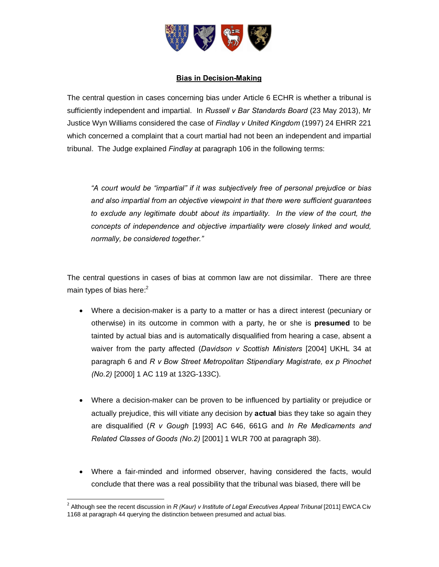

### **Bias in Decision-Making**

The central question in cases concerning bias under Article 6 ECHR is whether a tribunal is sufficiently independent and impartial. In *Russell v Bar Standards Board* (23 May 2013), Mr Justice Wyn Williams considered the case of *Findlay v United Kingdom* (1997) 24 EHRR 221 which concerned a complaint that a court martial had not been an independent and impartial tribunal. The Judge explained *Findlay* at paragraph 106 in the following terms:

*"A court would be "impartial" if it was subjectively free of personal prejudice or bias and also impartial from an objective viewpoint in that there were sufficient guarantees to exclude any legitimate doubt about its impartiality. In the view of the court, the concepts of independence and objective impartiality were closely linked and would, normally, be considered together."*

The central questions in cases of bias at common law are not dissimilar. There are three main types of bias here: $<sup>2</sup>$ </sup>

- · Where a decision-maker is a party to a matter or has a direct interest (pecuniary or otherwise) in its outcome in common with a party, he or she is **presumed** to be tainted by actual bias and is automatically disqualified from hearing a case, absent a waiver from the party affected (*Davidson v Scottish Ministers* [2004] UKHL 34 at paragraph 6 and *R v Bow Street Metropolitan Stipendiary Magistrate, ex p Pinochet (No.2)* [2000] 1 AC 119 at 132G-133C).
- · Where a decision-maker can be proven to be influenced by partiality or prejudice or actually prejudice, this will vitiate any decision by **actual** bias they take so again they are disqualified (*R v Gough* [1993] AC 646, 661G and *In Re Medicaments and Related Classes of Goods (No.2)* [2001] 1 WLR 700 at paragraph 38).
- · Where a fair-minded and informed observer, having considered the facts, would conclude that there was a real possibility that the tribunal was biased, there will be

<sup>&</sup>lt;sup>2</sup> Although see the recent discussion in *R (Kaur) v Institute of Legal Executives Appeal Tribunal* [2011] EWCA Civ 1168 at paragraph 44 querying the distinction between presumed and actual bias.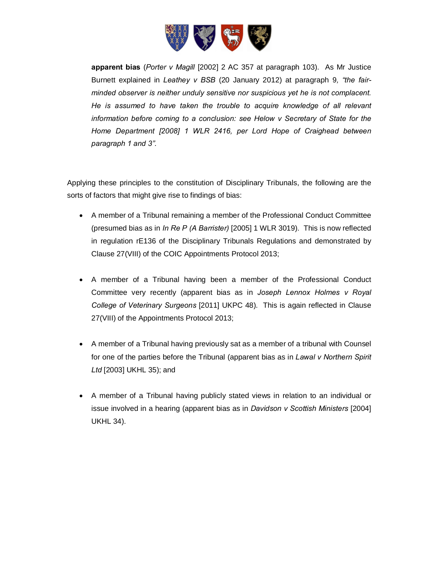

**apparent bias** (*Porter v Magill* [2002] 2 AC 357 at paragraph 103). As Mr Justice Burnett explained in *Leathey v BSB* (20 January 2012) at paragraph 9*, "the fairminded observer is neither unduly sensitive nor suspicious yet he is not complacent. He is assumed to have taken the trouble to acquire knowledge of all relevant information before coming to a conclusion: see Helow v Secretary of State for the Home Department [2008] 1 WLR 2416, per Lord Hope of Craighead between paragraph 1 and 3".*

Applying these principles to the constitution of Disciplinary Tribunals, the following are the sorts of factors that might give rise to findings of bias:

- · A member of a Tribunal remaining a member of the Professional Conduct Committee (presumed bias as in *In Re P (A Barrister)* [2005] 1 WLR 3019). This is now reflected in regulation rE136 of the Disciplinary Tribunals Regulations and demonstrated by Clause 27(VIII) of the COIC Appointments Protocol 2013;
- · A member of a Tribunal having been a member of the Professional Conduct Committee very recently (apparent bias as in *Joseph Lennox Holmes v Royal College of Veterinary Surgeons* [2011] UKPC 48). This is again reflected in Clause 27(VIII) of the Appointments Protocol 2013;
- · A member of a Tribunal having previously sat as a member of a tribunal with Counsel for one of the parties before the Tribunal (apparent bias as in *Lawal v Northern Spirit Ltd* [2003] UKHL 35); and
- · A member of a Tribunal having publicly stated views in relation to an individual or issue involved in a hearing (apparent bias as in *Davidson v Scottish Ministers* [2004] UKHL 34).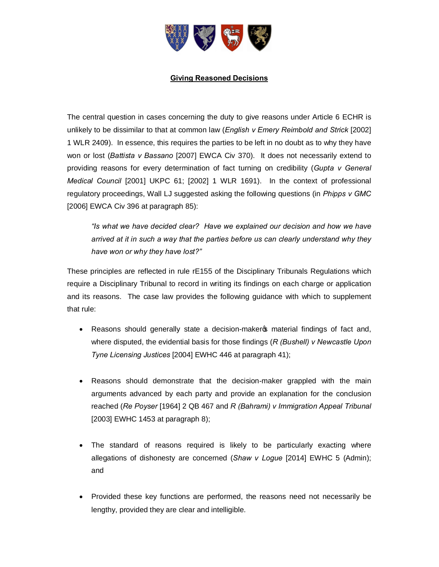

### **Giving Reasoned Decisions**

The central question in cases concerning the duty to give reasons under Article 6 ECHR is unlikely to be dissimilar to that at common law (*English v Emery Reimbold and Strick* [2002] 1 WLR 2409). In essence, this requires the parties to be left in no doubt as to why they have won or lost (*Battista v Bassano* [2007] EWCA Civ 370). It does not necessarily extend to providing reasons for every determination of fact turning on credibility (*Gupta v General Medical Council* [2001] UKPC 61; [2002] 1 WLR 1691). In the context of professional regulatory proceedings, Wall LJ suggested asking the following questions (in *Phipps v GMC*  [2006] EWCA Civ 396 at paragraph 85):

*"Is what we have decided clear? Have we explained our decision and how we have arrived at it in such a way that the parties before us can clearly understand why they have won or why they have lost?"*

These principles are reflected in rule rE155 of the Disciplinary Tribunals Regulations which require a Disciplinary Tribunal to record in writing its findings on each charge or application and its reasons. The case law provides the following guidance with which to supplement that rule:

- Reasons should generally state a decision-maker op material findings of fact and, where disputed, the evidential basis for those findings (*R (Bushell) v Newcastle Upon Tyne Licensing Justices* [2004] EWHC 446 at paragraph 41);
- · Reasons should demonstrate that the decision-maker grappled with the main arguments advanced by each party and provide an explanation for the conclusion reached (*Re Poyser* [1964] 2 QB 467 and *R (Bahrami) v Immigration Appeal Tribunal*  [2003] EWHC 1453 at paragraph 8);
- · The standard of reasons required is likely to be particularly exacting where allegations of dishonesty are concerned (*Shaw v Logue* [2014] EWHC 5 (Admin); and
- · Provided these key functions are performed, the reasons need not necessarily be lengthy, provided they are clear and intelligible.